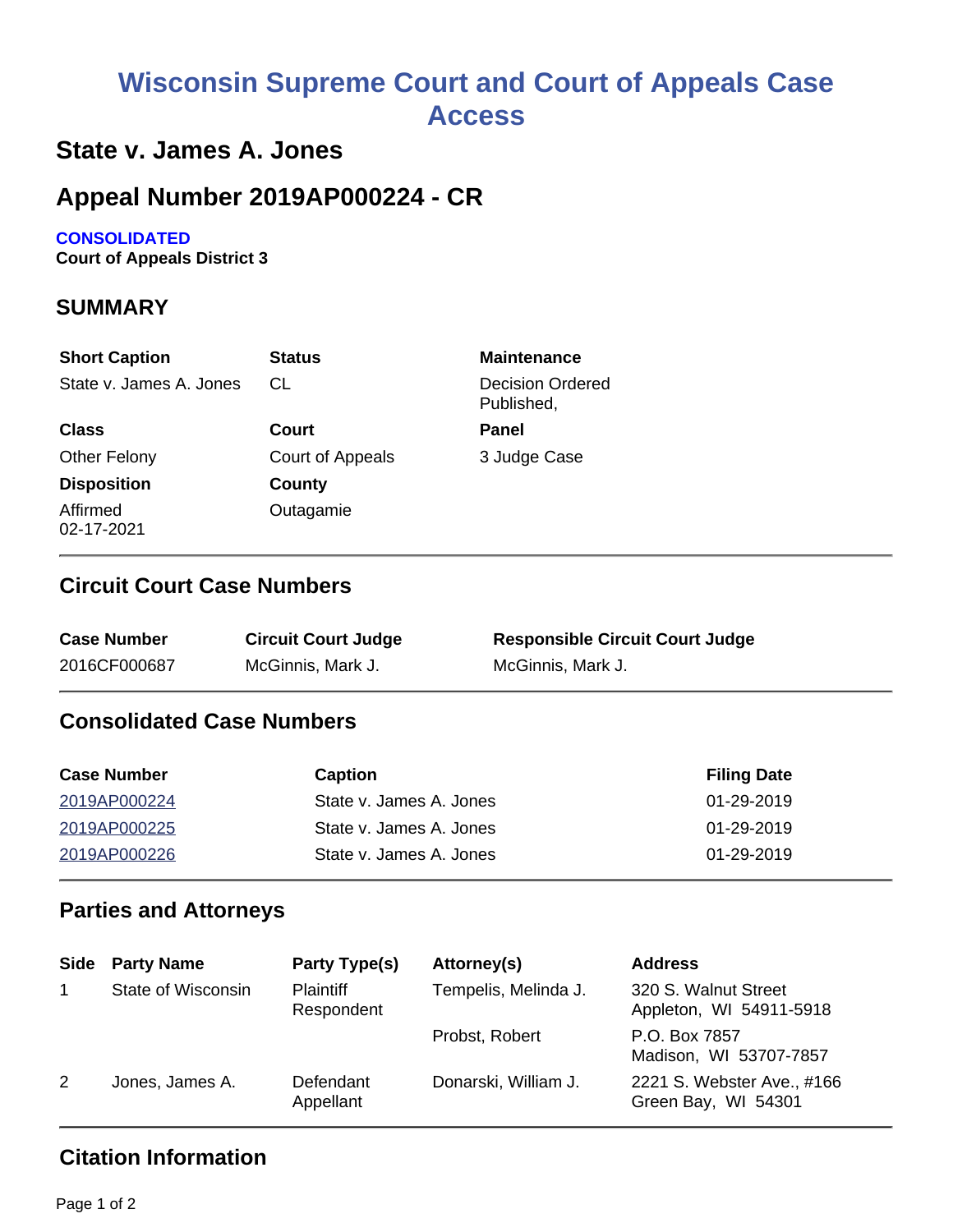# **Wisconsin Supreme Court and Court of Appeals Case Access**

# **State v. James A. Jones**

# **Appeal Number 2019AP000224 - CR**

#### **CONSOLIDATED**

**Court of Appeals District 3**

## **SUMMARY**

| <b>Short Caption</b>    | <b>Status</b>    | <b>Maintenance</b>                    |
|-------------------------|------------------|---------------------------------------|
| State v. James A. Jones | CL.              | <b>Decision Ordered</b><br>Published, |
| <b>Class</b>            | Court            | Panel                                 |
| <b>Other Felony</b>     | Court of Appeals | 3 Judge Case                          |
| <b>Disposition</b>      | County           |                                       |
| Affirmed<br>02-17-2021  | Outagamie        |                                       |

#### **Circuit Court Case Numbers**

| <b>Case Number</b> | <b>Circuit Court Judge</b> | <b>Responsible Circuit Court Judge</b> |
|--------------------|----------------------------|----------------------------------------|
| 2016CF000687       | McGinnis, Mark J.          | McGinnis, Mark J.                      |

### **Consolidated Case Numbers**

| <b>Case Number</b> | Caption                 | <b>Filing Date</b> |
|--------------------|-------------------------|--------------------|
| 2019AP000224       | State v. James A. Jones | $01 - 29 - 2019$   |
| 2019AP000225       | State v. James A. Jones | 01-29-2019         |
| 2019AP000226       | State v. James A. Jones | $01 - 29 - 2019$   |

# **Parties and Attorneys**

| <b>Side</b> | <b>Party Name</b>  | Party Type(s)                  | Attorney(s)          | <b>Address</b>                                    |
|-------------|--------------------|--------------------------------|----------------------|---------------------------------------------------|
|             | State of Wisconsin | <b>Plaintiff</b><br>Respondent | Tempelis, Melinda J. | 320 S. Walnut Street<br>Appleton, WI 54911-5918   |
|             |                    |                                | Probst, Robert       | P.O. Box 7857<br>Madison, WI 53707-7857           |
| 2           | Jones, James A.    | Defendant<br>Appellant         | Donarski, William J. | 2221 S. Webster Ave., #166<br>Green Bay, WI 54301 |

## **Citation Information**

Page 1 of 2